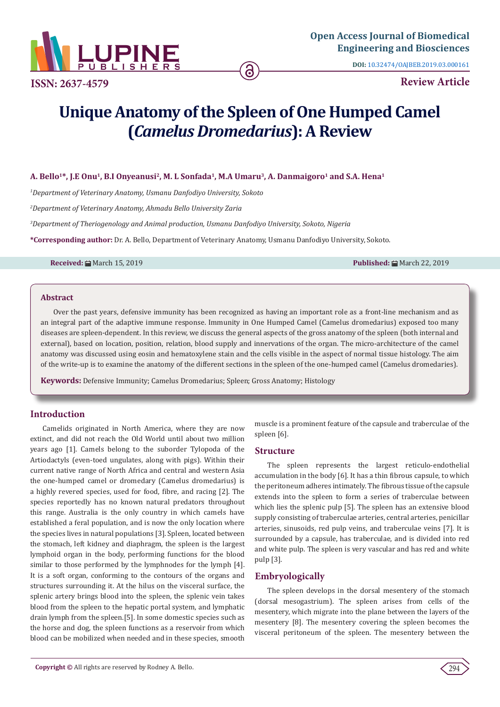

**ISSN: 2637-4579 Review Article**

**DOI:** [10.32474/OAJBEB.2019.03.000161](http://dx.doi.org/10.32474/OAJBEB.2019.03.000161)

# **Unique Anatomy of the Spleen of One Humped Camel (***Camelus Dromedarius***): A Review**

# A. Bello<sup>1\*</sup>, J.E Onu<sup>1</sup>, B.I Onyeanusi<sup>2</sup>, M. L Sonfada<sup>1</sup>, M.A Umaru<sup>3</sup>, A. Danmaigoro<sup>1</sup> and S.A. Hena<sup>1</sup>

*1 Department of Veterinary Anatomy, Usmanu Danfodiyo University, Sokoto*

*2 Department of Veterinary Anatomy, Ahmadu Bello University Zaria* 

*3 Department of Theriogenology and Animal production, Usmanu Danfodiyo University, Sokoto, Nigeria*

**\*Corresponding author:** Dr. A. Bello, Department of Veterinary Anatomy, Usmanu Danfodiyo University, Sokoto.

**Received:** March 15, 2019 **Published:** March 22, 2019

## **Abstract**

Over the past years, defensive immunity has been recognized as having an important role as a front-line mechanism and as an integral part of the adaptive immune response. Immunity in One Humped Camel (Camelus dromedarius) exposed too many diseases are spleen-dependent. In this review, we discuss the general aspects of the gross anatomy of the spleen (both internal and external), based on location, position, relation, blood supply and innervations of the organ. The micro-architecture of the camel anatomy was discussed using eosin and hematoxylene stain and the cells visible in the aspect of normal tissue histology. The aim of the write-up is to examine the anatomy of the different sections in the spleen of the one-humped camel (Camelus dromedaries).

**Keywords:** Defensive Immunity; Camelus Dromedarius; Spleen; Gross Anatomy; Histology

## **Introduction**

Camelids originated in North America, where they are now extinct, and did not reach the Old World until about two million years ago [1]. Camels belong to the suborder Tylopoda of the Artiodactyls (even-toed ungulates, along with pigs). Within their current native range of North Africa and central and western Asia the one-humped camel or dromedary (Camelus dromedarius) is a highly revered species, used for food, fibre, and racing [2]. The species reportedly has no known natural predators throughout this range. Australia is the only country in which camels have established a feral population, and is now the only location where the species lives in natural populations [3]. Spleen, located between the stomach, left kidney and diaphragm, the spleen is the largest lymphoid organ in the body, performing functions for the blood similar to those performed by the lymphnodes for the lymph [4]. It is a soft organ, conforming to the contours of the organs and structures surrounding it. At the hilus on the visceral surface, the splenic artery brings blood into the spleen, the splenic vein takes blood from the spleen to the hepatic portal system, and lymphatic drain lymph from the spleen.[5]. In some domestic species such as the horse and dog, the spleen functions as a reservoir from which blood can be mobilized when needed and in these species, smooth

muscle is a prominent feature of the capsule and traberculae of the spleen [6].

#### **Structure**

The spleen represents the largest reticulo-endothelial accumulation in the body [6]. It has a thin fibrous capsule, to which the peritoneum adheres intimately. The fibrous tissue of the capsule extends into the spleen to form a series of traberculae between which lies the splenic pulp [5]. The spleen has an extensive blood supply consisting of traberculae arteries, central arteries, penicillar arteries, sinusoids, red pulp veins, and traberculae veins [7]. It is surrounded by a capsule, has traberculae, and is divided into red and white pulp. The spleen is very vascular and has red and white pulp [3].

## **Embryologically**

The spleen develops in the dorsal mesentery of the stomach (dorsal mesogastrium). The spleen arises from cells of the mesentery, which migrate into the plane between the layers of the mesentery [8]. The mesentery covering the spleen becomes the visceral peritoneum of the spleen. The mesentery between the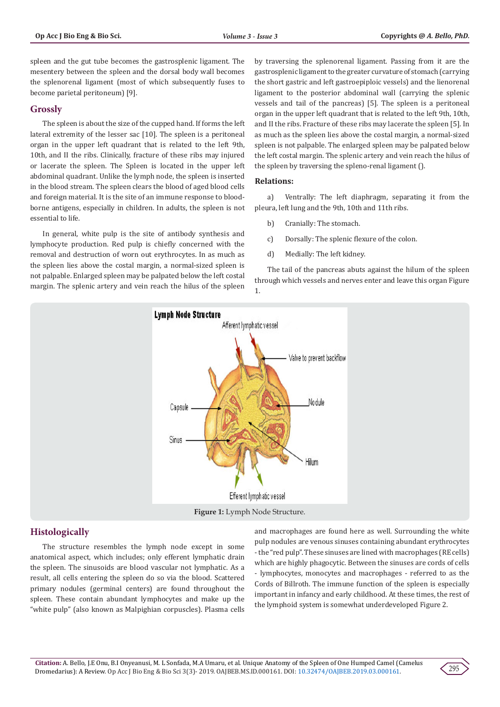spleen and the gut tube becomes the gastrosplenic ligament. The mesentery between the spleen and the dorsal body wall becomes the splenorenal ligament (most of which subsequently fuses to become parietal peritoneum) [9].

## **Grossly**

The spleen is about the size of the cupped hand. If forms the left lateral extremity of the lesser sac [10]. The spleen is a peritoneal organ in the upper left quadrant that is related to the left 9th, 10th, and II the ribs. Clinically, fracture of these ribs may injured or lacerate the spleen. The Spleen is located in the upper left abdominal quadrant. Unlike the lymph node, the spleen is inserted in the blood stream. The spleen clears the blood of aged blood cells and foreign material. It is the site of an immune response to bloodborne antigens, especially in children. In adults, the spleen is not essential to life.

In general, white pulp is the site of antibody synthesis and lymphocyte production. Red pulp is chiefly concerned with the removal and destruction of worn out erythrocytes. In as much as the spleen lies above the costal margin, a normal-sized spleen is not palpable. Enlarged spleen may be palpated below the left costal margin. The splenic artery and vein reach the hilus of the spleen by traversing the splenorenal ligament. Passing from it are the gastrosplenic ligament to the greater curvature of stomach (carrying the short gastric and left gastroepiploic vessels) and the lienorenal ligament to the posterior abdominal wall (carrying the splenic vessels and tail of the pancreas) [5]. The spleen is a peritoneal organ in the upper left quadrant that is related to the left 9th, 10th, and II the ribs. Fracture of these ribs may lacerate the spleen [5]. In as much as the spleen lies above the costal margin, a normal-sized spleen is not palpable. The enlarged spleen may be palpated below the left costal margin. The splenic artery and vein reach the hilus of the spleen by traversing the spleno-renal ligament ().

#### **Relations:**

a) Ventrally: The left diaphragm, separating it from the pleura, left lung and the 9th, 10th and 11th ribs.

- b) Cranially: The stomach.
- c) Dorsally: The splenic flexure of the colon.
- d) Medially: The left kidney.

The tail of the pancreas abuts against the hilum of the spleen through which vessels and nerves enter and leave this organ Figure 1.



## **Histologically**

The structure resembles the lymph node except in some anatomical aspect, which includes; only efferent lymphatic drain the spleen. The sinusoids are blood vascular not lymphatic. As a result, all cells entering the spleen do so via the blood. Scattered primary nodules (germinal centers) are found throughout the spleen. These contain abundant lymphocytes and make up the "white pulp" (also known as Malpighian corpuscles). Plasma cells and macrophages are found here as well. Surrounding the white pulp nodules are venous sinuses containing abundant erythrocytes - the "red pulp". These sinuses are lined with macrophages (RE cells) which are highly phagocytic. Between the sinuses are cords of cells - lymphocytes, monocytes and macrophages - referred to as the Cords of Billroth. The immune function of the spleen is especially important in infancy and early childhood. At these times, the rest of the lymphoid system is somewhat underdeveloped Figure 2.

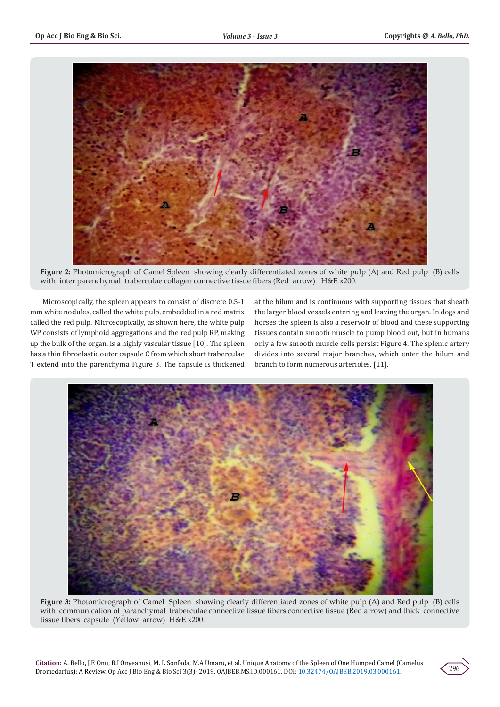

**Figure 2:** Photomicrograph of Camel Spleen showing clearly differentiated zones of white pulp (A) and Red pulp (B) cells with inter parenchymal traberculae collagen connective tissue fibers (Red arrow) H&E x200.

Microscopically, the spleen appears to consist of discrete 0.5-1 mm white nodules, called the white pulp, embedded in a red matrix called the red pulp. Microscopically, as shown here, the white pulp WP consists of lymphoid aggregations and the red pulp RP, making up the bulk of the organ, is a highly vascular tissue [10]. The spleen has a thin fibroelastic outer capsule C from which short traberculae T extend into the parenchyma Figure 3. The capsule is thickened

at the hilum and is continuous with supporting tissues that sheath the larger blood vessels entering and leaving the organ. In dogs and horses the spleen is also a reservoir of blood and these supporting tissues contain smooth muscle to pump blood out, but in humans only a few smooth muscle cells persist Figure 4. The splenic artery divides into several major branches, which enter the hilum and branch to form numerous arterioles. [11].



**Figure 3:** Photomicrograph of Camel Spleen showing clearly differentiated zones of white pulp (A) and Red pulp (B) cells with communication of paranchymal traberculae connective tissue fibers connective tissue (Red arrow) and thick connective tissue fibers capsule (Yellow arrow) H&E x200.

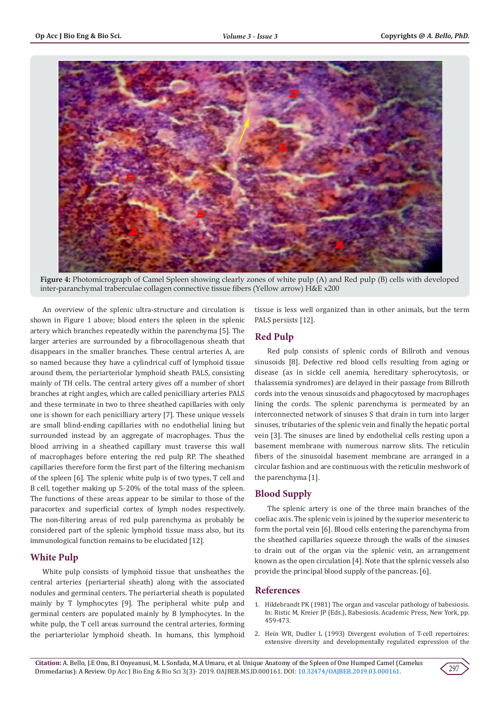

**Figure 4:** Photomicrograph of Camel Spleen showing clearly zones of white pulp (A) and Red pulp (B) cells with developed inter-paranchymal traberculae collagen connective tissue fibers (Yellow arrow) H&E x200

An overview of the splenic ultra-structure and circulation is shown in Figure 1 above; blood enters the spleen in the splenic artery which branches repeatedly within the parenchyma [5]. The larger arteries are surrounded by a fibrocollagenous sheath that disappears in the smaller branches. These central arteries A, are so named because they have a cylindrical cuff of lymphoid tissue around them, the periarteriolar lymphoid sheath PALS, consisting mainly of TH cells. The central artery gives off a number of short branches at right angles, which are called penicilliary arteries PALS and these terminate in two to three sheathed capillaries with only one is shown for each penicilliary artery [7]. These unique vessels are small blind-ending capillaries with no endothelial lining but surrounded instead by an aggregate of macrophages. Thus the blood arriving in a sheathed capillary must traverse this wall of macrophages before entering the red pulp RP. The sheathed capillaries therefore form the first part of the filtering mechanism of the spleen [6]. The splenic white pulp is of two types, T cell and B cell, together making up 5-20% of the total mass of the spleen. The functions of these areas appear to be similar to those of the paracortex and superficial cortex of lymph nodes respectively. The non-filtering areas of red pulp parenchyma as probably be considered part of the splenic lymphoid tissue mass also, but its immunological function remains to be elucidated [12].

# **White Pulp**

White pulp consists of lymphoid tissue that unsheathes the central arteries (periarterial sheath) along with the associated nodules and germinal centers. The periarterial sheath is populated mainly by T lymphocytes [9]. The peripheral white pulp and germinal centers are populated mainly by B lymphocytes. In the white pulp, the T cell areas surround the central arteries, forming the periarteriolar lymphoid sheath. In humans, this lymphoid tissue is less well organized than in other animals, but the term PALS persists [12].

# **Red Pulp**

Red pulp consists of splenic cords of Billroth and venous sinusoids [8]. Defective red blood cells resulting from aging or disease (as in sickle cell anemia, hereditary spherocytosis, or thalassemia syndromes) are delayed in their passage from Billroth cords into the venous sinusoids and phagocytosed by macrophages lining the cords. The splenic parenchyma is permeated by an interconnected network of sinuses S that drain in turn into larger sinuses, tributaries of the splenic vein and finally the hepatic portal vein [3]. The sinuses are lined by endothelial cells resting upon a basement membrane with numerous narrow slits. The reticulin fibers of the sinusoidal basement membrane are arranged in a circular fashion and are continuous with the reticulin meshwork of the parenchyma [1].

## **Blood Supply**

The splenic artery is one of the three main branches of the coeliac axis. The splenic vein is joined by the superior mesenteric to form the portal vein [6]. Blood cells entering the parenchyma from the sheathed capillaries squeeze through the walls of the sinuses to drain out of the organ via the splenic vein, an arrangement known as the open circulation [4]. Note that the splenic vessels also provide the principal blood supply of the pancreas. [6].

#### **References**

- 1. Hildebrandt PK (1981) The organ and vascular pathology of babesiosis. In: Ristic M, Kreier JP (Eds.), Babesiosis. Academic Press, New York, pp. 459-473.
- 2. [Hein WR, Dudler L \(1993\) Divergent evolution of T-cell repertoires:](https://www.ncbi.nlm.nih.gov/pubmed/8440261) [extensive diversity and developmentally regulated expression of the](https://www.ncbi.nlm.nih.gov/pubmed/8440261)

**Citation:** A. Bello, J.E Onu, B.I Onyeanusi, M. L Sonfada, M.A Umaru, et al. Unique Anatomy of the Spleen of One Humped Camel (Camelus Dromedarius): A Review. Op Acc J Bio Eng & Bio Sci 3(3)- 2019. OAJBEB.MS.ID.000161. DOI: [10.32474/OAJBEB.2019.03.000161](http://dx.doi.org/10.32474/OAJBEB.2019.03.000161).